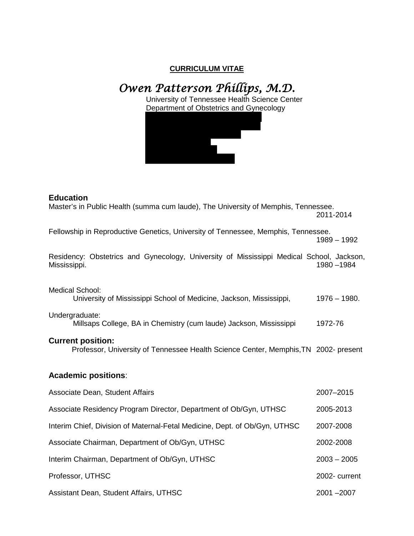## **CURRICULUM VITAE**

*Owen Patterson Phillips, M.D.* 

# University of Tennessee Health Science Center Department of Obstetrics and Gynecology **Education** Master's in Public Health (summa cum laude), The University of Memphis, Tennessee. 2011-2014 Fellowship in Reproductive Genetics, University of Tennessee, Memphis, Tennessee. 1989 – 1992 Residency: Obstetrics and Gynecology, University of Mississippi Medical School, Jackson,<br>Mississippi. 1980–1984 Mississippi. Medical School: University of Mississippi School of Medicine, Jackson, Mississippi, 1976 – 1980. Undergraduate: Millsaps College, BA in Chemistry (cum laude) Jackson, Mississippi 1972-76 **Current position:** Professor, University of Tennessee Health Science Center, Memphis,TN 2002- present **Academic positions**: Associate Dean, Student Affairs 2007–2015 Associate Residency Program Director, Department of Ob/Gyn, UTHSC 2005-2013 Interim Chief, Division of Maternal-Fetal Medicine, Dept. of Ob/Gyn, UTHSC 2007-2008 Associate Chairman, Department of Ob/Gyn, UTHSC 2002-2008 Interim Chairman, Department of Ob/Gyn, UTHSC 2003 – 2005

Professor, UTHSC 2002- 2002- 2002- 2002- 2002- 2002- 2002- 2002- 2002- 2002- 2002- 2002- 2002- 2002- 2002- 200 Assistant Dean, Student Affairs, UTHSC 2001 –2007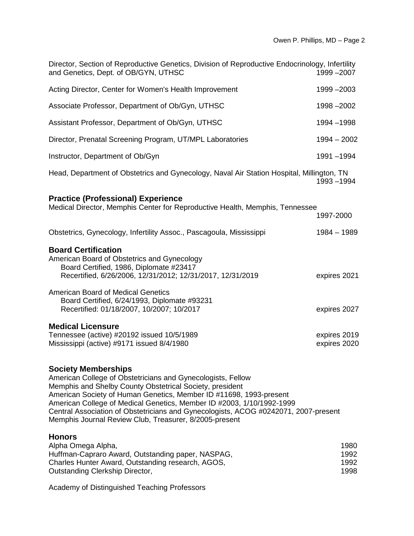| Director, Section of Reproductive Genetics, Division of Reproductive Endocrinology, Infertility<br>and Genetics, Dept. of OB/GYN, UTHSC                                                                                                                                                                                                                                                                                                               | 1999 - 2007                  |
|-------------------------------------------------------------------------------------------------------------------------------------------------------------------------------------------------------------------------------------------------------------------------------------------------------------------------------------------------------------------------------------------------------------------------------------------------------|------------------------------|
| Acting Director, Center for Women's Health Improvement                                                                                                                                                                                                                                                                                                                                                                                                | 1999 - 2003                  |
| Associate Professor, Department of Ob/Gyn, UTHSC                                                                                                                                                                                                                                                                                                                                                                                                      | 1998 - 2002                  |
| Assistant Professor, Department of Ob/Gyn, UTHSC                                                                                                                                                                                                                                                                                                                                                                                                      | 1994 - 1998                  |
| Director, Prenatal Screening Program, UT/MPL Laboratories                                                                                                                                                                                                                                                                                                                                                                                             | $1994 - 2002$                |
| Instructor, Department of Ob/Gyn                                                                                                                                                                                                                                                                                                                                                                                                                      | 1991-1994                    |
| Head, Department of Obstetrics and Gynecology, Naval Air Station Hospital, Millington, TN                                                                                                                                                                                                                                                                                                                                                             | 1993-1994                    |
| <b>Practice (Professional) Experience</b><br>Medical Director, Memphis Center for Reproductive Health, Memphis, Tennessee                                                                                                                                                                                                                                                                                                                             | 1997-2000                    |
| Obstetrics, Gynecology, Infertility Assoc., Pascagoula, Mississippi                                                                                                                                                                                                                                                                                                                                                                                   | $1984 - 1989$                |
| <b>Board Certification</b><br>American Board of Obstetrics and Gynecology<br>Board Certified, 1986, Diplomate #23417<br>Recertified, 6/26/2006, 12/31/2012; 12/31/2017, 12/31/2019                                                                                                                                                                                                                                                                    | expires 2021                 |
| <b>American Board of Medical Genetics</b><br>Board Certified, 6/24/1993, Diplomate #93231<br>Recertified: 01/18/2007, 10/2007; 10/2017                                                                                                                                                                                                                                                                                                                | expires 2027                 |
| <b>Medical Licensure</b><br>Tennessee (active) #20192 issued 10/5/1989<br>Mississippi (active) #9171 issued 8/4/1980                                                                                                                                                                                                                                                                                                                                  | expires 2019<br>expires 2020 |
| <b>Society Memberships</b><br>American College of Obstetricians and Gynecologists, Fellow<br>Memphis and Shelby County Obstetrical Society, president<br>American Society of Human Genetics, Member ID #11698, 1993-present<br>American College of Medical Genetics, Member ID #2003, 1/10/1992-1999<br>Central Association of Obstetricians and Gynecologists, ACOG #0242071, 2007-present<br>Memphis Journal Review Club, Treasurer, 8/2005-present |                              |
| <b>Honors</b><br>Alpha Omega Alpha,<br>Huffman-Capraro Award, Outstanding paper, NASPAG,<br>Charles Hunter Award, Outstanding research, AGOS,<br>Outstanding Clerkship Director,                                                                                                                                                                                                                                                                      | 1980<br>1992<br>1992<br>1998 |

Academy of Distinguished Teaching Professors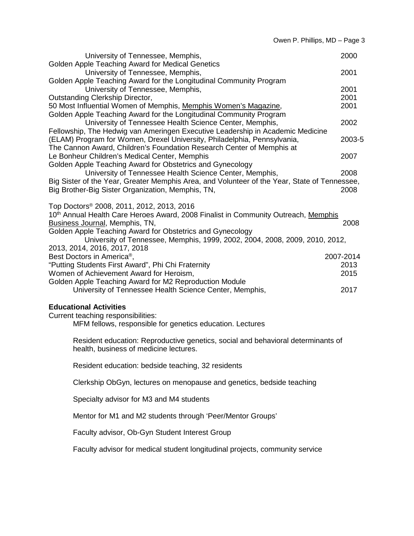| University of Tennessee, Memphis,<br>Golden Apple Teaching Award for Medical Genetics                                                                                         | 2000                      |
|-------------------------------------------------------------------------------------------------------------------------------------------------------------------------------|---------------------------|
| University of Tennessee, Memphis,                                                                                                                                             | 2001                      |
| Golden Apple Teaching Award for the Longitudinal Community Program<br>University of Tennessee, Memphis,<br>Outstanding Clerkship Director,                                    | 2001<br>2001              |
| 50 Most Influential Women of Memphis, Memphis Women's Magazine,<br>Golden Apple Teaching Award for the Longitudinal Community Program                                         | 2001                      |
| University of Tennessee Health Science Center, Memphis,<br>Fellowship, The Hedwig van Ameringen Executive Leadership in Academic Medicine                                     | 2002                      |
| (ELAM) Program for Women, Drexel University, Philadelphia, Pennsylvania,<br>The Cannon Award, Children's Foundation Research Center of Memphis at                             | 2003-5                    |
| Le Bonheur Children's Medical Center, Memphis<br>Golden Apple Teaching Award for Obstetrics and Gynecology                                                                    | 2007                      |
| University of Tennessee Health Science Center, Memphis,<br>Big Sister of the Year, Greater Memphis Area, and Volunteer of the Year, State of Tennessee,                       | 2008                      |
| Big Brother-Big Sister Organization, Memphis, TN,                                                                                                                             | 2008                      |
| Top Doctors® 2008, 2011, 2012, 2013, 2016<br>10 <sup>th</sup> Annual Health Care Heroes Award, 2008 Finalist in Community Outreach, Memphis<br>Business Journal, Memphis, TN, | 2008                      |
| Golden Apple Teaching Award for Obstetrics and Gynecology                                                                                                                     |                           |
| University of Tennessee, Memphis, 1999, 2002, 2004, 2008, 2009, 2010, 2012,<br>2013, 2014, 2016, 2017, 2018                                                                   |                           |
| Best Doctors in America <sup>®</sup> ,<br>"Putting Students First Award", Phi Chi Fraternity<br>Women of Achievement Award for Heroism,                                       | 2007-2014<br>2013<br>2015 |
| Golden Apple Teaching Award for M2 Reproduction Module<br>University of Tennessee Health Science Center, Memphis,                                                             | 2017                      |
| <b>Educational Activities</b>                                                                                                                                                 |                           |
| Current teaching responsibilities:<br>MFM fellows, responsible for genetics education. Lectures                                                                               |                           |
| Resident education: Reproductive genetics, social and behavioral determinants of<br>health, business of medicine lectures.                                                    |                           |
| Resident education: bedside teaching, 32 residents                                                                                                                            |                           |
| Clerkship ObGyn, lectures on menopause and genetics, bedside teaching                                                                                                         |                           |
| Specialty advisor for M3 and M4 students                                                                                                                                      |                           |
| Mentor for M1 and M2 students through 'Peer/Mentor Groups'                                                                                                                    |                           |
| Faculty advisor, Ob-Gyn Student Interest Group                                                                                                                                |                           |
| Faculty advisor for medical student longitudinal projects, community service                                                                                                  |                           |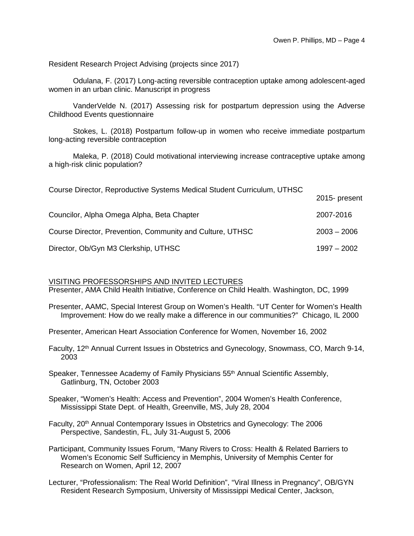Resident Research Project Advising (projects since 2017)

Odulana, F. (2017) Long-acting reversible contraception uptake among adolescent-aged women in an urban clinic. Manuscript in progress

VanderVelde N. (2017) Assessing risk for postpartum depression using the Adverse Childhood Events questionnaire

Stokes, L. (2018) Postpartum follow-up in women who receive immediate postpartum long-acting reversible contraception

Maleka, P. (2018) Could motivational interviewing increase contraceptive uptake among a high-risk clinic population?

| Course Director, Reproductive Systems Medical Student Curriculum, UTHSC |               |
|-------------------------------------------------------------------------|---------------|
|                                                                         | 2015- present |
| Councilor, Alpha Omega Alpha, Beta Chapter                              | 2007-2016     |
| Course Director, Prevention, Community and Culture, UTHSC               | $2003 - 2006$ |
| Director, Ob/Gyn M3 Clerkship, UTHSC                                    | $1997 - 2002$ |

#### VISITING PROFESSORSHIPS AND INVITED LECTURES

Presenter, AMA Child Health Initiative, Conference on Child Health. Washington, DC, 1999

Presenter, AAMC, Special Interest Group on Women's Health. "UT Center for Women's Health Improvement: How do we really make a difference in our communities?" Chicago, IL 2000

Presenter, American Heart Association Conference for Women, November 16, 2002

Faculty, 12<sup>th</sup> Annual Current Issues in Obstetrics and Gynecology, Snowmass, CO, March 9-14, 2003

Speaker, Tennessee Academy of Family Physicians 55<sup>th</sup> Annual Scientific Assembly, Gatlinburg, TN, October 2003

Speaker, "Women's Health: Access and Prevention", 2004 Women's Health Conference, Mississippi State Dept. of Health, Greenville, MS, July 28, 2004

Faculty, 20<sup>th</sup> Annual Contemporary Issues in Obstetrics and Gynecology: The 2006 Perspective, Sandestin, FL, July 31-August 5, 2006

Participant, Community Issues Forum, "Many Rivers to Cross: Health & Related Barriers to Women's Economic Self Sufficiency in Memphis, University of Memphis Center for Research on Women, April 12, 2007

Lecturer, "Professionalism: The Real World Definition", "Viral Illness in Pregnancy", OB/GYN Resident Research Symposium, University of Mississippi Medical Center, Jackson,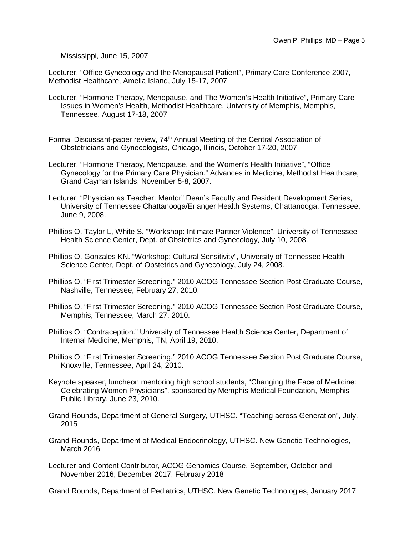Mississippi, June 15, 2007

Lecturer, "Office Gynecology and the Menopausal Patient", Primary Care Conference 2007, Methodist Healthcare, Amelia Island, July 15-17, 2007

- Lecturer, "Hormone Therapy, Menopause, and The Women's Health Initiative", Primary Care Issues in Women's Health, Methodist Healthcare, University of Memphis, Memphis, Tennessee, August 17-18, 2007
- Formal Discussant-paper review, 74<sup>th</sup> Annual Meeting of the Central Association of Obstetricians and Gynecologists, Chicago, Illinois, October 17-20, 2007
- Lecturer, "Hormone Therapy, Menopause, and the Women's Health Initiative", "Office Gynecology for the Primary Care Physician." Advances in Medicine, Methodist Healthcare, Grand Cayman Islands, November 5-8, 2007.
- Lecturer, "Physician as Teacher: Mentor" Dean's Faculty and Resident Development Series, University of Tennessee Chattanooga/Erlanger Health Systems, Chattanooga, Tennessee, June 9, 2008.
- Phillips O, Taylor L, White S. "Workshop: Intimate Partner Violence", University of Tennessee Health Science Center, Dept. of Obstetrics and Gynecology, July 10, 2008.
- Phillips O, Gonzales KN. "Workshop: Cultural Sensitivity", University of Tennessee Health Science Center, Dept. of Obstetrics and Gynecology, July 24, 2008.
- Phillips O. "First Trimester Screening." 2010 ACOG Tennessee Section Post Graduate Course, Nashville, Tennessee, February 27, 2010.
- Phillips O. "First Trimester Screening." 2010 ACOG Tennessee Section Post Graduate Course, Memphis, Tennessee, March 27, 2010.
- Phillips O. "Contraception." University of Tennessee Health Science Center, Department of Internal Medicine, Memphis, TN, April 19, 2010.
- Phillips O. "First Trimester Screening." 2010 ACOG Tennessee Section Post Graduate Course, Knoxville, Tennessee, April 24, 2010.
- Keynote speaker, luncheon mentoring high school students, "Changing the Face of Medicine: Celebrating Women Physicians", sponsored by Memphis Medical Foundation, Memphis Public Library, June 23, 2010.
- Grand Rounds, Department of General Surgery, UTHSC. "Teaching across Generation", July, 2015
- Grand Rounds, Department of Medical Endocrinology, UTHSC. New Genetic Technologies, March 2016
- Lecturer and Content Contributor, ACOG Genomics Course, September, October and November 2016; December 2017; February 2018

Grand Rounds, Department of Pediatrics, UTHSC. New Genetic Technologies, January 2017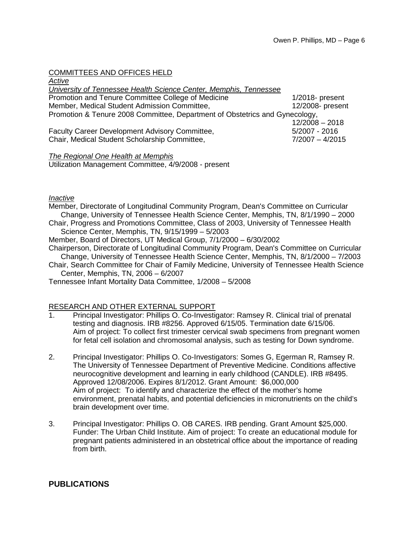## COMMITTEES AND OFFICES HELD

| Active                                                                      |                    |  |
|-----------------------------------------------------------------------------|--------------------|--|
| University of Tennessee Health Science Center, Memphis, Tennessee           |                    |  |
| Promotion and Tenure Committee College of Medicine                          | $1/2018$ - present |  |
| Member, Medical Student Admission Committee,                                | 12/2008- present   |  |
| Promotion & Tenure 2008 Committee, Department of Obstetrics and Gynecology, |                    |  |
|                                                                             | $12/2008 - 2018$   |  |
| Faculty Career Development Advisory Committee,                              | $5/2007 - 2016$    |  |
| Chair, Medical Student Scholarship Committee,                               | $7/2007 - 4/2015$  |  |
|                                                                             |                    |  |

## *The Regional One Health at Memphis*

Utilization Management Committee, 4/9/2008 - present

## *Inactive*

- Member, Directorate of Longitudinal Community Program, Dean's Committee on Curricular Change, University of Tennessee Health Science Center, Memphis, TN, 8/1/1990 – 2000
- Chair, Progress and Promotions Committee, Class of 2003, University of Tennessee Health Science Center, Memphis, TN, 9/15/1999 – 5/2003
- Member, Board of Directors, UT Medical Group, 7/1/2000 6/30/2002
- Chairperson, Directorate of Longitudinal Community Program, Dean's Committee on Curricular Change, University of Tennessee Health Science Center, Memphis, TN, 8/1/2000 – 7/2003
- Chair, Search Committee for Chair of Family Medicine, University of Tennessee Health Science Center, Memphis, TN, 2006 – 6/2007

Tennessee Infant Mortality Data Committee, 1/2008 – 5/2008

## RESEARCH AND OTHER EXTERNAL SUPPORT<br>1. Principal Investigator: Phillips O. Co-Investig

- Principal Investigator: Phillips O. Co-Investigator: Ramsey R. Clinical trial of prenatal testing and diagnosis. IRB #8256. Approved 6/15/05. Termination date 6/15/06. Aim of project: To collect first trimester cervical swab specimens from pregnant women for fetal cell isolation and chromosomal analysis, such as testing for Down syndrome.
- 2. Principal Investigator: Phillips O. Co-Investigators: Somes G, Egerman R, Ramsey R. The University of Tennessee Department of Preventive Medicine. Conditions affective neurocognitive development and learning in early childhood (CANDLE). IRB #8495. Approved 12/08/2006. Expires 8/1/2012. Grant Amount: \$6,000,000 Aim of project: To identify and characterize the effect of the mother's home environment, prenatal habits, and potential deficiencies in micronutrients on the child's brain development over time.
- 3. Principal Investigator: Phillips O. OB CARES. IRB pending. Grant Amount \$25,000. Funder: The Urban Child Institute. Aim of project: To create an educational module for pregnant patients administered in an obstetrical office about the importance of reading from birth.

## **PUBLICATIONS**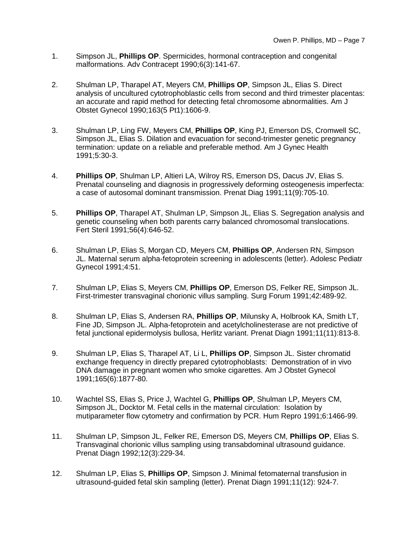- 1. Simpson JL, **Phillips OP**. Spermicides, hormonal contraception and congenital malformations. Adv Contracept 1990;6(3):141-67.
- 2. Shulman LP, Tharapel AT, Meyers CM, **Phillips OP**, Simpson JL, Elias S. Direct analysis of uncultured cytotrophoblastic cells from second and third trimester placentas: an accurate and rapid method for detecting fetal chromosome abnormalities. Am J Obstet Gynecol 1990;163(5 Pt1):1606-9.
- 3. Shulman LP, Ling FW, Meyers CM, **Phillips OP**, King PJ, Emerson DS, Cromwell SC, Simpson JL, Elias S. Dilation and evacuation for second-trimester genetic pregnancy termination: update on a reliable and preferable method. Am J Gynec Health 1991;5:30-3.
- 4. **Phillips OP**, Shulman LP, Altieri LA, Wilroy RS, Emerson DS, Dacus JV, Elias S. Prenatal counseling and diagnosis in progressively deforming osteogenesis imperfecta: a case of autosomal dominant transmission. Prenat Diag 1991;11(9):705-10.
- 5. **Phillips OP**, Tharapel AT, Shulman LP, Simpson JL, Elias S. Segregation analysis and genetic counseling when both parents carry balanced chromosomal translocations. Fert Steril 1991;56(4):646-52.
- 6. Shulman LP, Elias S, Morgan CD, Meyers CM, **Phillips OP**, Andersen RN, Simpson JL. Maternal serum alpha-fetoprotein screening in adolescents (letter). Adolesc Pediatr Gynecol 1991;4:51.
- 7. Shulman LP, Elias S, Meyers CM, **Phillips OP**, Emerson DS, Felker RE, Simpson JL. First-trimester transvaginal chorionic villus sampling. Surg Forum 1991;42:489-92.
- 8. Shulman LP, Elias S, Andersen RA, **Phillips OP**, Milunsky A, Holbrook KA, Smith LT, Fine JD, Simpson JL. Alpha-fetoprotein and acetylcholinesterase are not predictive of fetal junctional epidermolysis bullosa, Herlitz variant. Prenat Diagn 1991;11(11):813-8.
- 9. Shulman LP, Elias S, Tharapel AT, Li L, **Phillips OP**, Simpson JL. Sister chromatid exchange frequency in directly prepared cytotrophoblasts: Demonstration of in vivo DNA damage in pregnant women who smoke cigarettes. Am J Obstet Gynecol 1991;165(6):1877-80.
- 10. Wachtel SS, Elias S, Price J, Wachtel G, **Phillips OP**, Shulman LP, Meyers CM, Simpson JL, Docktor M. Fetal cells in the maternal circulation: Isolation by mutiparameter flow cytometry and confirmation by PCR. Hum Repro 1991;6:1466-99.
- 11. Shulman LP, Simpson JL, Felker RE, Emerson DS, Meyers CM, **Phillips OP**, Elias S. Transvaginal chorionic villus sampling using transabdominal ultrasound guidance. Prenat Diagn 1992;12(3):229-34.
- 12. Shulman LP, Elias S, **Phillips OP**, Simpson J. Minimal fetomaternal transfusion in ultrasound-guided fetal skin sampling (letter). Prenat Diagn 1991;11(12): 924-7.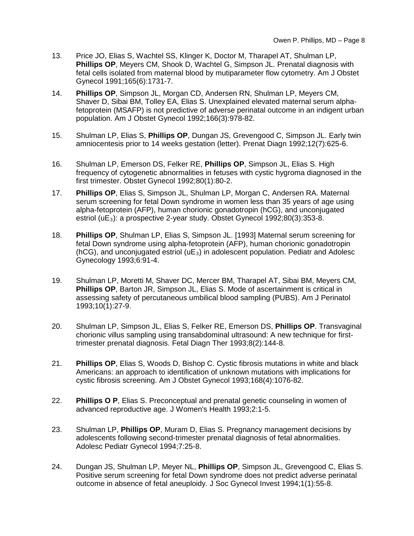- 13. Price JO, Elias S, Wachtel SS, Klinger K, Doctor M, Tharapel AT, Shulman LP, **Phillips OP**, Meyers CM, Shook D, Wachtel G, Simpson JL. Prenatal diagnosis with fetal cells isolated from maternal blood by mutiparameter flow cytometry. Am J Obstet Gynecol 1991;165(6):1731-7.
- 14. **Phillips OP**, Simpson JL, Morgan CD, Andersen RN, Shulman LP, Meyers CM, Shaver D, Sibai BM, Tolley EA, Elias S. Unexplained elevated maternal serum alphafetoprotein (MSAFP) is not predictive of adverse perinatal outcome in an indigent urban population. Am J Obstet Gynecol 1992;166(3):978-82.
- 15. Shulman LP, Elias S, **Phillips OP**, Dungan JS, Grevengood C, Simpson JL. Early twin amniocentesis prior to 14 weeks gestation (letter). Prenat Diagn 1992;12(7):625-6.
- 16. Shulman LP, Emerson DS, Felker RE, **Phillips OP**, Simpson JL, Elias S. High frequency of cytogenetic abnormalities in fetuses with cystic hygroma diagnosed in the first trimester. Obstet Gynecol 1992;80(1):80-2.
- 17. **Phillips OP**, Elias S, Simpson JL, Shulman LP, Morgan C, Andersen RA. Maternal serum screening for fetal Down syndrome in women less than 35 years of age using alpha-fetoprotein (AFP), human chorionic gonadotropin (hCG), and unconjugated estriol (uE<sub>3</sub>): a prospective 2-year study. Obstet Gynecol 1992;80(3):353-8.
- 18. **Phillips OP**, Shulman LP, Elias S, Simpson JL. [1993] Maternal serum screening for fetal Down syndrome using alpha-fetoprotein (AFP), human chorionic gonadotropin  $(hCG)$ , and unconjugated estriol  $(uE_3)$  in adolescent population. Pediatr and Adolesc Gynecology 1993;6:91-4.
- 19. Shulman LP, Moretti M, Shaver DC, Mercer BM, Tharapel AT, Sibai BM, Meyers CM, **Phillips OP**, Barton JR, Simpson JL, Elias S. Mode of ascertainment is critical in assessing safety of percutaneous umbilical blood sampling (PUBS). Am J Perinatol 1993;10(1):27-9.
- 20. Shulman LP, Simpson JL, Elias S, Felker RE, Emerson DS, **Phillips OP**. Transvaginal chorionic villus sampling using transabdominal ultrasound: A new technique for firsttrimester prenatal diagnosis. Fetal Diagn Ther 1993;8(2):144-8.
- 21. **Phillips OP**, Elias S, Woods D, Bishop C. Cystic fibrosis mutations in white and black Americans: an approach to identification of unknown mutations with implications for cystic fibrosis screening. Am J Obstet Gynecol 1993;168(4):1076-82.
- 22. **Phillips O P**, Elias S. Preconceptual and prenatal genetic counseling in women of advanced reproductive age. J Women's Health 1993;2:1-5.
- 23. Shulman LP, **Phillips OP**, Muram D, Elias S. Pregnancy management decisions by adolescents following second-trimester prenatal diagnosis of fetal abnormalities. Adolesc Pediatr Gynecol 1994;7:25-8.
- 24. Dungan JS, Shulman LP, Meyer NL, **Phillips OP**, Simpson JL, Grevengood C, Elias S. Positive serum screening for fetal Down syndrome does not predict adverse perinatal outcome in absence of fetal aneuploidy. J Soc Gynecol Invest 1994;1(1):55-8.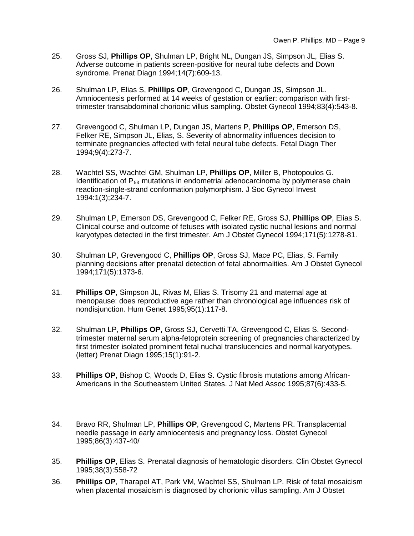- 25. Gross SJ, **Phillips OP**, Shulman LP, Bright NL, Dungan JS, Simpson JL, Elias S. Adverse outcome in patients screen-positive for neural tube defects and Down syndrome. Prenat Diagn 1994;14(7):609-13.
- 26. Shulman LP, Elias S, **Phillips OP**, Grevengood C, Dungan JS, Simpson JL. Amniocentesis performed at 14 weeks of gestation or earlier: comparison with firsttrimester transabdominal chorionic villus sampling. Obstet Gynecol 1994;83(4):543-8.
- 27. Grevengood C, Shulman LP, Dungan JS, Martens P, **Phillips OP**, Emerson DS, Felker RE, Simpson JL, Elias, S. Severity of abnormality influences decision to terminate pregnancies affected with fetal neural tube defects. Fetal Diagn Ther 1994;9(4):273-7.
- 28. Wachtel SS, Wachtel GM, Shulman LP, **Phillips OP**, Miller B, Photopoulos G. Identification of  $P_{53}$  mutations in endometrial adenocarcinoma by polymerase chain reaction-single-strand conformation polymorphism. J Soc Gynecol Invest 1994:1(3);234-7.
- 29. Shulman LP, Emerson DS, Grevengood C, Felker RE, Gross SJ, **Phillips OP**, Elias S. Clinical course and outcome of fetuses with isolated cystic nuchal lesions and normal karyotypes detected in the first trimester. Am J Obstet Gynecol 1994;171(5):1278-81.
- 30. Shulman LP, Grevengood C, **Phillips OP**, Gross SJ, Mace PC, Elias, S. Family planning decisions after prenatal detection of fetal abnormalities. Am J Obstet Gynecol 1994;171(5):1373-6.
- 31. **Phillips OP**, Simpson JL, Rivas M, Elias S. Trisomy 21 and maternal age at menopause: does reproductive age rather than chronological age influences risk of nondisjunction. Hum Genet 1995;95(1):117-8.
- 32. Shulman LP, **Phillips OP**, Gross SJ, Cervetti TA, Grevengood C, Elias S. Secondtrimester maternal serum alpha-fetoprotein screening of pregnancies characterized by first trimester isolated prominent fetal nuchal translucencies and normal karyotypes. (letter) Prenat Diagn 1995;15(1):91-2.
- 33. **Phillips OP**, Bishop C, Woods D, Elias S. Cystic fibrosis mutations among African-Americans in the Southeastern United States. J Nat Med Assoc 1995;87(6):433-5.
- 34. Bravo RR, Shulman LP, **Phillips OP**, Grevengood C, Martens PR. Transplacental needle passage in early amniocentesis and pregnancy loss. Obstet Gynecol 1995;86(3):437-40/
- 35. **Phillips OP**, Elias S. Prenatal diagnosis of hematologic disorders. Clin Obstet Gynecol 1995;38(3):558-72
- 36. **Phillips OP**, Tharapel AT, Park VM, Wachtel SS, Shulman LP. Risk of fetal mosaicism when placental mosaicism is diagnosed by chorionic villus sampling. Am J Obstet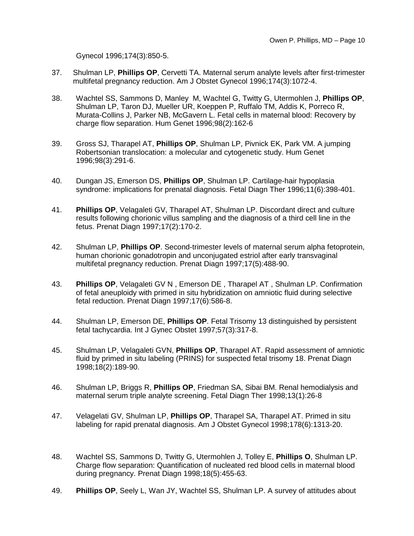Gynecol 1996;174(3):850-5.

- 37. Shulman LP, **Phillips OP**, Cervetti TA. Maternal serum analyte levels after first-trimester multifetal pregnancy reduction. Am J Obstet Gynecol 1996;174(3):1072-4.
- 38. Wachtel SS, Sammons D, Manley M, Wachtel G, Twitty G, Utermohlen J, **Phillips OP**, Shulman LP, Taron DJ, Mueller UR, Koeppen P, Ruffalo TM, Addis K, Porreco R, Murata-Collins J, Parker NB, McGavern L. Fetal cells in maternal blood: Recovery by charge flow separation. Hum Genet 1996;98(2):162-6
- 39. Gross SJ, Tharapel AT, **Phillips OP**, Shulman LP, Pivnick EK, Park VM. A jumping Robertsonian translocation: a molecular and cytogenetic study. Hum Genet 1996;98(3):291-6.
- 40. Dungan JS, Emerson DS, **Phillips OP**, Shulman LP. Cartilage-hair hypoplasia syndrome: implications for prenatal diagnosis. Fetal Diagn Ther 1996;11(6):398-401.
- 41. **Phillips OP**, Velagaleti GV, Tharapel AT, Shulman LP. Discordant direct and culture results following chorionic villus sampling and the diagnosis of a third cell line in the fetus. Prenat Diagn 1997;17(2):170-2.
- 42. Shulman LP, **Phillips OP**. Second-trimester levels of maternal serum alpha fetoprotein, human chorionic gonadotropin and unconjugated estriol after early transvaginal multifetal pregnancy reduction. Prenat Diagn 1997;17(5):488-90.
- 43. **Phillips OP**, Velagaleti GV N , Emerson DE , Tharapel AT , Shulman LP. Confirmation of fetal aneuploidy with primed in situ hybridization on amniotic fluid during selective fetal reduction. Prenat Diagn 1997;17(6):586-8.
- 44. Shulman LP, Emerson DE, **Phillips OP**. Fetal Trisomy 13 distinguished by persistent fetal tachycardia. Int J Gynec Obstet 1997;57(3):317-8.
- 45. Shulman LP, Velagaleti GVN, **Phillips OP**, Tharapel AT. Rapid assessment of amniotic fluid by primed in situ labeling (PRINS) for suspected fetal trisomy 18. Prenat Diagn 1998;18(2):189-90.
- 46. Shulman LP, Briggs R, **Phillips OP**, Friedman SA, Sibai BM. Renal hemodialysis and maternal serum triple analyte screening. Fetal Diagn Ther 1998;13(1):26-8
- 47. Velagelati GV, Shulman LP, **Phillips OP**, Tharapel SA, Tharapel AT. Primed in situ labeling for rapid prenatal diagnosis. Am J Obstet Gynecol 1998;178(6):1313-20.
- 48. Wachtel SS, Sammons D, Twitty G, Utermohlen J, Tolley E, **Phillips O**, Shulman LP. Charge flow separation: Quantification of nucleated red blood cells in maternal blood during pregnancy. Prenat Diagn 1998;18(5):455-63.
- 49. **Phillips OP**, Seely L, Wan JY, Wachtel SS, Shulman LP. A survey of attitudes about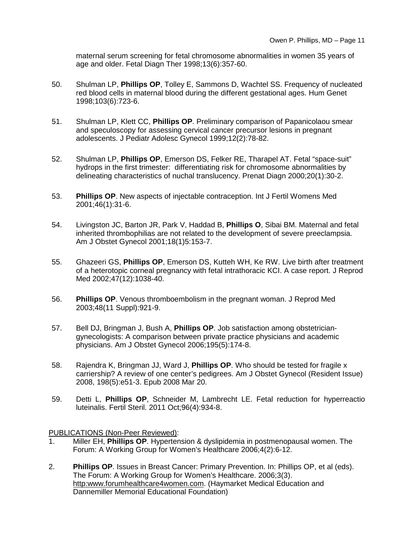maternal serum screening for fetal chromosome abnormalities in women 35 years of age and older. Fetal Diagn Ther 1998;13(6):357-60.

- 50. Shulman LP, **Phillips OP**, Tolley E, Sammons D, Wachtel SS. Frequency of nucleated red blood cells in maternal blood during the different gestational ages. Hum Genet 1998;103(6):723-6.
- 51. Shulman LP, Klett CC, **Phillips OP**. Preliminary comparison of Papanicolaou smear and speculoscopy for assessing cervical cancer precursor lesions in pregnant adolescents. J Pediatr Adolesc Gynecol 1999;12(2):78-82.
- 52. Shulman LP, **Phillips OP**, Emerson DS, Felker RE, Tharapel AT. Fetal "space-suit" hydrops in the first trimester: differentiating risk for chromosome abnormalities by delineating characteristics of nuchal translucency. Prenat Diagn 2000;20(1):30-2.
- 53. **Phillips OP**. New aspects of injectable contraception. Int J Fertil Womens Med 2001;46(1):31-6.
- 54. Livingston JC, Barton JR, Park V, Haddad B, **Phillips O**, Sibai BM. Maternal and fetal inherited thrombophilias are not related to the development of severe preeclampsia. Am J Obstet Gynecol 2001;18(1)5:153-7.
- 55. Ghazeeri GS, **Phillips OP**, Emerson DS, Kutteh WH, Ke RW. Live birth after treatment of a heterotopic corneal pregnancy with fetal intrathoracic KCI. A case report. J Reprod Med 2002;47(12):1038-40.
- 56. **Phillips OP**. Venous thromboembolism in the pregnant woman. J Reprod Med 2003;48(11 Suppl):921-9.
- 57. Bell DJ, Bringman J, Bush A, **Phillips OP**. Job satisfaction among obstetriciangynecologists: A comparison between private practice physicians and academic physicians. Am J Obstet Gynecol 2006;195(5):174-8.
- 58. Rajendra K, Bringman JJ, Ward J, **Phillips OP**. Who should be tested for fragile x carriership? A review of one center's pedigrees. Am J Obstet Gynecol (Resident Issue) 2008, 198(5):e51-3. Epub 2008 Mar 20.
- 59. [Detti L,](http://www.ncbi.nlm.nih.gov/pubmed?term=Detti%20L%5BAuthor%5D&cauthor=true&cauthor_uid=21820654) **[Phillips OP](http://www.ncbi.nlm.nih.gov/pubmed?term=Phillips%20OP%5BAuthor%5D&cauthor=true&cauthor_uid=21820654)**, [Schneider M,](http://www.ncbi.nlm.nih.gov/pubmed?term=Schneider%20M%5BAuthor%5D&cauthor=true&cauthor_uid=21820654) [Lambrecht LE.](http://www.ncbi.nlm.nih.gov/pubmed?term=Lambrecht%20LE%5BAuthor%5D&cauthor=true&cauthor_uid=21820654) Fetal reduction for hyperreactio luteinalis. [Fertil Steril.](http://www.ncbi.nlm.nih.gov/pubmed/21820654) 2011 Oct;96(4):934-8.

PUBLICATIONS (Non-Peer Reviewed):

- 1. Miller EH, **Phillips OP**. Hypertension & dyslipidemia in postmenopausal women. The Forum: A Working Group for Women's Healthcare 2006;4(2):6-12.
- 2. **Phillips OP**. Issues in Breast Cancer: Primary Prevention. In: Phillips OP, et al (eds). The Forum: A Working Group for Women's Healthcare. 2006;3(3). http:www.forumhealthcare4women.com. (Haymarket Medical Education and Dannemiller Memorial Educational Foundation)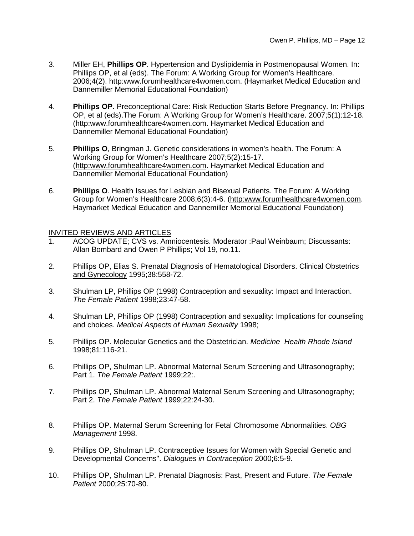- 3. Miller EH, **Phillips OP**. Hypertension and Dyslipidemia in Postmenopausal Women. In: Phillips OP, et al (eds). The Forum: A Working Group for Women's Healthcare. 2006;4(2). http:www.forumhealthcare4women.com. (Haymarket Medical Education and Dannemiller Memorial Educational Foundation)
- 4. **Phillips OP**. Preconceptional Care: Risk Reduction Starts Before Pregnancy. In: Phillips OP, et al (eds).The Forum: A Working Group for Women's Healthcare. 2007;5(1):12-18. (http:www.forumhealthcare4women.com. Haymarket Medical Education and Dannemiller Memorial Educational Foundation)
- 5. **Phillips O**, Bringman J. Genetic considerations in women's health. The Forum: A Working Group for Women's Healthcare 2007;5(2):15-17. (http:www.forumhealthcare4women.com. Haymarket Medical Education and Dannemiller Memorial Educational Foundation)
- 6. **Phillips O**. Health Issues for Lesbian and Bisexual Patients. The Forum: A Working Group for Women's Healthcare 2008;6(3):4-6. (http:www.forumhealthcare4women.com. Haymarket Medical Education and Dannemiller Memorial Educational Foundation)

## INVITED REVIEWS AND ARTICLES

- 1. ACOG UPDATE; CVS vs. Amniocentesis. Moderator :Paul Weinbaum; Discussants: Allan Bombard and Owen P Phillips; Vol 19, no.11.
- 2. Phillips OP, Elias S. Prenatal Diagnosis of Hematological Disorders. Clinical Obstetrics and Gynecology 1995;38:558-72.
- 3. Shulman LP, Phillips OP (1998) Contraception and sexuality: Impact and Interaction. *The Female Patient* 1998;23:47-58.
- 4. Shulman LP, Phillips OP (1998) Contraception and sexuality: Implications for counseling and choices. *Medical Aspects of Human Sexuality* 1998;
- 5. Phillips OP. Molecular Genetics and the Obstetrician. *Medicine Health Rhode Island* 1998;81:116-21.
- 6. Phillips OP, Shulman LP. Abnormal Maternal Serum Screening and Ultrasonography; Part 1. *The Female Patient* 1999;22:.
- 7. Phillips OP, Shulman LP. Abnormal Maternal Serum Screening and Ultrasonography; Part 2. *The Female Patient* 1999;22:24-30.
- 8. Phillips OP. Maternal Serum Screening for Fetal Chromosome Abnormalities. *OBG Management* 1998.
- 9. Phillips OP, Shulman LP. Contraceptive Issues for Women with Special Genetic and Developmental Concerns". *Dialogues in Contraception* 2000;6:5-9.
- 10. Phillips OP, Shulman LP. Prenatal Diagnosis: Past, Present and Future. *The Female Patient* 2000;25:70-80.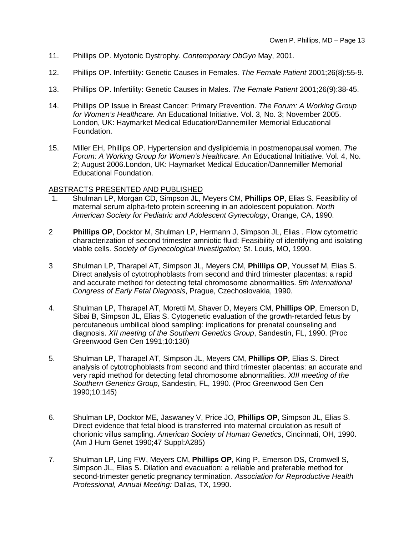- 11. Phillips OP. Myotonic Dystrophy. *Contemporary ObGyn* May, 2001.
- 12. Phillips OP. Infertility: Genetic Causes in Females. *The Female Patient* 2001;26(8):55-9.
- 13. Phillips OP. Infertility: Genetic Causes in Males. *The Female Patient* 2001;26(9):38-45.
- 14. Phillips OP Issue in Breast Cancer: Primary Prevention. *The Forum: A Working Group for Women's Healthcare.* An Educational Initiative. Vol. 3, No. 3; November 2005. London, UK: Haymarket Medical Education/Dannemiller Memorial Educational Foundation.
- 15. Miller EH, Phillips OP. Hypertension and dyslipidemia in postmenopausal women. *The Forum: A Working Group for Women's Healthcare.* An Educational Initiative. Vol. 4, No. 2; August 2006.London, UK: Haymarket Medical Education/Dannemiller Memorial Educational Foundation.

## ABSTRACTS PRESENTED AND PUBLISHED

- 1. Shulman LP, Morgan CD, Simpson JL, Meyers CM, **Phillips OP**, Elias S. Feasibility of maternal serum alpha-feto protein screening in an adolescent population. *North American Society for Pediatric and Adolescent Gynecology*, Orange, CA, 1990.
- 2 **Phillips OP**, Docktor M, Shulman LP, Hermann J, Simpson JL, Elias . Flow cytometric characterization of second trimester amniotic fluid: Feasibility of identifying and isolating viable cells. *Society of Gynecological Investigation;* St. Louis, MO, 1990.
- 3 Shulman LP, Tharapel AT, Simpson JL, Meyers CM, **Phillips OP**, Youssef M, Elias S. Direct analysis of cytotrophoblasts from second and third trimester placentas: a rapid and accurate method for detecting fetal chromosome abnormalities. *5th International Congress of Early Fetal Diagnosis*, Prague, Czechoslovakia, 1990.
- 4. Shulman LP, Tharapel AT, Moretti M, Shaver D, Meyers CM, **Phillips OP**, Emerson D, Sibai B, Simpson JL, Elias S. Cytogenetic evaluation of the growth-retarded fetus by percutaneous umbilical blood sampling: implications for prenatal counseling and diagnosis. *XII meeting of the Southern Genetics Group*, Sandestin, FL, 1990. (Proc Greenwood Gen Cen 1991;10:130)
- 5. Shulman LP, Tharapel AT, Simpson JL, Meyers CM, **Phillips OP**, Elias S. Direct analysis of cytotrophoblasts from second and third trimester placentas: an accurate and very rapid method for detecting fetal chromosome abnormalities. *XIII meeting of the Southern Genetics Group*, Sandestin, FL, 1990. (Proc Greenwood Gen Cen 1990;10:145)
- 6. Shulman LP, Docktor ME, Jaswaney V, Price JO, **Phillips OP**, Simpson JL, Elias S. Direct evidence that fetal blood is transferred into maternal circulation as result of chorionic villus sampling. *American Society of Human Genetics*, Cincinnati, OH, 1990. (Am J Hum Genet 1990;47 Suppl:A285)
- 7. Shulman LP, Ling FW, Meyers CM, **Phillips OP**, King P, Emerson DS, Cromwell S, Simpson JL, Elias S. Dilation and evacuation: a reliable and preferable method for second-trimester genetic pregnancy termination. *Association for Reproductive Health Professional, Annual Meeting:* Dallas, TX, 1990.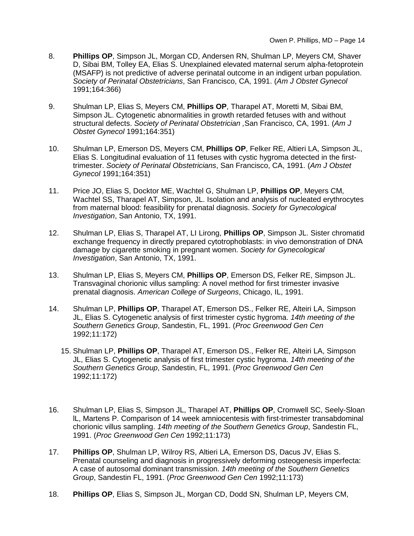- 8. **Phillips OP**, Simpson JL, Morgan CD, Andersen RN, Shulman LP, Meyers CM, Shaver D, Sibai BM, Tolley EA, Elias S. Unexplained elevated maternal serum alpha-fetoprotein (MSAFP) is not predictive of adverse perinatal outcome in an indigent urban population. *Society of Perinatal Obstetricians*, San Francisco, CA, 1991. (*Am J Obstet Gynecol* 1991;164:366)
- 9. Shulman LP, Elias S, Meyers CM, **Phillips OP**, Tharapel AT, Moretti M, Sibai BM, Simpson JL. Cytogenetic abnormalities in growth retarded fetuses with and without structural defects. *Society of Perinatal Obstetrician ,*San Francisco, CA, 1991. (*Am J Obstet Gynecol* 1991;164:351)
- 10. Shulman LP, Emerson DS, Meyers CM, **Phillips OP**, Felker RE, Altieri LA, Simpson JL, Elias S. Longitudinal evaluation of 11 fetuses with cystic hygroma detected in the firsttrimester. *Society of Perinatal Obstetricians*, San Francisco, CA, 1991. (*Am J Obstet Gynecol* 1991;164:351)
- 11. Price JO, Elias S, Docktor ME, Wachtel G, Shulman LP, **Phillips OP**, Meyers CM, Wachtel SS, Tharapel AT, Simpson, JL. Isolation and analysis of nucleated erythrocytes from maternal blood: feasibility for prenatal diagnosis. *Society for Gynecological Investigation*, San Antonio, TX, 1991.
- 12. Shulman LP, Elias S, Tharapel AT, LI Lirong, **Phillips OP**, Simpson JL. Sister chromatid exchange frequency in directly prepared cytotrophoblasts: in vivo demonstration of DNA damage by cigarette smoking in pregnant women. *Society for Gynecological Investigation*, San Antonio, TX, 1991.
- 13. Shulman LP, Elias S, Meyers CM, **Phillips OP**, Emerson DS, Felker RE, Simpson JL. Transvaginal chorionic villus sampling: A novel method for first trimester invasive prenatal diagnosis. *American College of Surgeons*, Chicago, IL, 1991.
- 14. Shulman LP, **Phillips OP**, Tharapel AT, Emerson DS., Felker RE, Alteiri LA, Simpson JL, Elias S. Cytogenetic analysis of first trimester cystic hygroma. *14th meeting of the Southern Genetics Group*, Sandestin, FL, 1991. (*Proc Greenwood Gen Cen* 1992;11:172)
	- 15. Shulman LP, **Phillips OP**, Tharapel AT, Emerson DS., Felker RE, Alteiri LA, Simpson JL, Elias S. Cytogenetic analysis of first trimester cystic hygroma. *14th meeting of the Southern Genetics Group*, Sandestin, FL, 1991. (*Proc Greenwood Gen Cen* 1992;11:172)
- 16. Shulman LP, Elias S, Simpson JL, Tharapel AT, **Phillips OP**, Cromwell SC, Seely-Sloan lL, Martens P. Comparison of 14 week amniocentesis with first-trimester transabdominal chorionic villus sampling. *14th meeting of the Southern Genetics Group*, Sandestin FL, 1991. (*Proc Greenwood Gen Cen* 1992;11:173)
- 17. **Phillips OP**, Shulman LP, Wilroy RS, Altieri LA, Emerson DS, Dacus JV, Elias S. Prenatal counseling and diagnosis in progressively deforming osteogenesis imperfecta: A case of autosomal dominant transmission. *14th meeting of the Southern Genetics Group*, Sandestin FL, 1991. (*Proc Greenwood Gen Cen* 1992;11:173)
- 18. **Phillips OP**, Elias S, Simpson JL, Morgan CD, Dodd SN, Shulman LP, Meyers CM,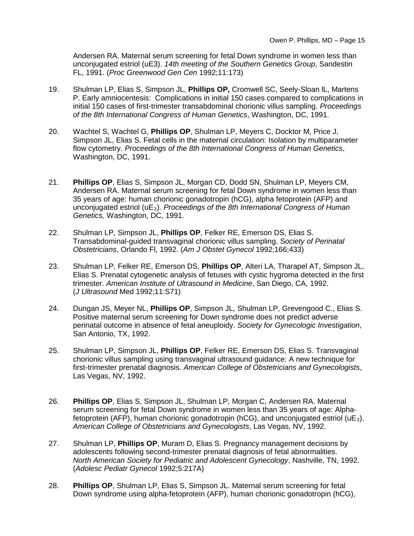Andersen RA. Maternal serum screening for fetal Down syndrome in women less than unconjugated estriol (uE3). *14th meeting of the Southern Genetics Group*, Sandestin FL, 1991. (*Proc Greenwood Gen Cen* 1992;11:173)

- 19. Shulman LP, Elias S, Simpson JL, **Phillips OP,** Cromwell SC, Seely-Sloan lL, Martens P. Early amniocentesis: Complications in initial 150 cases compared to complications in initial 150 cases of first-trimester transabdominal chorionic villus sampling. *Proceedings of the 8th International Congress of Human Genetics*, Washington, DC, 1991.
- 20. Wachtel S, Wachtel G, **Phillips OP**, Shulman LP, Meyers C, Docktor M, Price J, Simpson JL, Elias S. Fetal cells in the maternal circulation: Isolation by multiparameter flow cytometry. *Proceedings of the 8th International Congress of Human Genetics*, Washington, DC, 1991.
- 21. **Phillips OP**, Elias S, Simpson JL, Morgan CD, Dodd SN, Shulman LP, Meyers CM, Andersen RA. Maternal serum screening for fetal Down syndrome in women less than 35 years of age: human chorionic gonadotropin (hCG), alpha fetoprotein (AFP) and unconjugated estriol (uE3). *Proceedings of the 8th International Congress of Human Genetics,* Washington, DC, 1991.
- 22. Shulman LP, Simpson JL, **Phillips OP**, Felker RE, Emerson DS, Elias S. Transabdominal-guided transvaginal chorionic villus sampling. S*ociety of Perinatal Obstetricians*, Orlando Fl, 1992. (*Am J Obstet Gynecol* 1992;166;433)
- 23. Shulman LP, Felker RE, Emerson DS, **Phillips OP**, Alteri LA, Tharapel AT, Simpson JL, Elias S. Prenatal cytogenetic analysis of fetuses with cystic hygroma detected in the first trimester. *American Institute of Ultrasound in Medicine*, San Diego, CA, 1992. (*J Ultrasound* Med 1992;11:S71)
- 24. Dungan JS, Meyer NL, **Phillips OP**, Simpson JL, Shulman LP, Grevengood C., Elias S. Positive maternal serum screening for Down syndrome does not predict adverse perinatal outcome in absence of fetal aneuploidy. *Society for Gynecologic Investigation*, San Antonio, TX, 1992.
- 25. Shulman LP, Simpson JL, **Phillips OP**, Felker RE, Emerson DS, Elias S. Transvaginal chorionic villus sampling using transvaginal ultrasound guidance: A new technique for first-trimester prenatal diagnosis. *American College of Obstetricians and Gynecologists*, Las Vegas, NV, 1992.
- 26. **Phillips OP**, Elias S, Simpson JL, Shulman LP, Morgan C, Andersen RA. Maternal serum screening for fetal Down syndrome in women less than 35 years of age: Alphafetoprotein (AFP), human chorionic gonadotropin (hCG), and unconjugated estriol ( $\mu$ E<sub>3</sub>). *American College of Obstetricians and Gynecologists*, Las Vegas, NV, 1992.
- 27. Shulman LP, **Phillips OP**, Muram D, Elias S. Pregnancy management decisions by adolescents following second-trimester prenatal diagnosis of fetal abnormalities. *North American Society for Pediatric and Adolescent Gynecology*, Nashville, TN, 1992. (*Adolesc Pediatr Gynecol* 1992;5:217A)
- 28. **Phillips OP**, Shulman LP, Elias S, Simpson JL. Maternal serum screening for fetal Down syndrome using alpha-fetoprotein (AFP), human chorionic gonadotropin (hCG),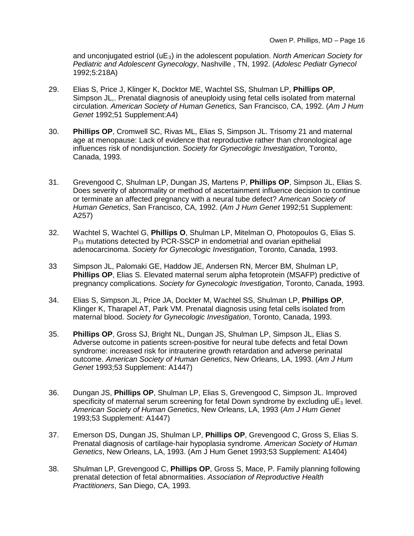and unconjugated estriol (uE<sub>3</sub>) in the adolescent population. *North American Society for Pediatric and Adolescent Gynecology*, Nashville , TN, 1992. (*Adolesc Pediatr Gynecol* 1992;5:218A)

- 29. Elias S, Price J, Klinger K, Docktor ME, Wachtel SS, Shulman LP, **Phillips OP**, Simpson JL,. Prenatal diagnosis of aneuploidy using fetal cells isolated from maternal circulation. *American Society of Human Genetics,* San Francisco, CA, 1992. (*Am J Hum Genet* 1992;51 Supplement:A4)
- 30. **Phillips OP**, Cromwell SC, Rivas ML, Elias S, Simpson JL. Trisomy 21 and maternal age at menopause: Lack of evidence that reproductive rather than chronological age influences risk of nondisjunction. *Society for Gynecologic Investigation*, Toronto, Canada, 1993.
- 31. Grevengood C, Shulman LP, Dungan JS, Martens P, **Phillips OP**, Simpson JL, Elias S. Does severity of abnormality or method of ascertainment influence decision to continue or terminate an affected pregnancy with a neural tube defect? *American Society of Human Genetics*, San Francisco, CA, 1992. (*Am J Hum Genet* 1992;51 Supplement: A257)
- 32. Wachtel S, Wachtel G, **Phillips O**, Shulman LP, Mitelman O, Photopoulos G, Elias S.  $P_{53}$  mutations detected by PCR-SSCP in endometrial and ovarian epithelial adenocarcinoma. *Society for Gynecologic Investigation*, Toronto, Canada, 1993.
- 33 Simpson JL, Palomaki GE, Haddow JE, Andersen RN, Mercer BM, Shulman LP, **Phillips OP**, Elias S. Elevated maternal serum alpha fetoprotein (MSAFP) predictive of pregnancy complications. *Society for Gynecologic Investigation*, Toronto, Canada, 1993.
- 34. Elias S, Simpson JL, Price JA, Dockter M, Wachtel SS, Shulman LP, **Phillips OP**, Klinger K, Tharapel AT, Park VM. Prenatal diagnosis using fetal cells isolated from maternal blood. *Society for Gynecologic Investigation*, Toronto, Canada, 1993.
- 35. **Phillips OP**, Gross SJ, Bright NL, Dungan JS, Shulman LP, Simpson JL, Elias S. Adverse outcome in patients screen-positive for neural tube defects and fetal Down syndrome: increased risk for intrauterine growth retardation and adverse perinatal outcome. *American Society of Human Genetics*, New Orleans, LA, 1993. (*Am J Hum Genet* 1993;53 Supplement: A1447)
- 36. Dungan JS, **Phillips OP**, Shulman LP, Elias S, Grevengood C, Simpson JL. Improved specificity of maternal serum screening for fetal Down syndrome by excluding  $E_3$  level. *American Society of Human Genetics*, New Orleans, LA, 1993 (*Am J Hum Genet* 1993;53 Supplement: A1447)
- 37. Emerson DS, Dungan JS, Shulman LP, **Phillips OP**, Grevengood C, Gross S, Elias S. Prenatal diagnosis of cartilage-hair hypoplasia syndrome. *American Society of Human Genetics*, New Orleans, LA, 1993. (Am J Hum Genet 1993;53 Supplement: A1404)
- 38. Shulman LP, Grevengood C, **Phillips OP**, Gross S, Mace, P. Family planning following prenatal detection of fetal abnormalities. *Association of Reproductive Health Practitioners*, San Diego, CA, 1993.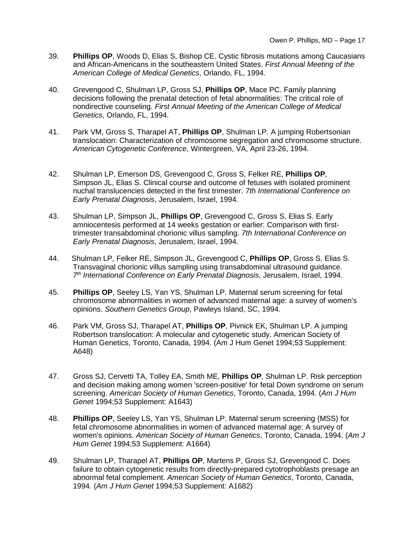- 39. **Phillips OP**, Woods D, Elias S, Bishop CE. Cystic fibrosis mutations among Caucasians and African-Americans in the southeastern United States. *First Annual Meeting of the American College of Medical Genetics*, Orlando, FL, 1994.
- 40. Grevengood C, Shulman LP, Gross SJ, **Phillips OP**, Mace PC. Family planning decisions following the prenatal detection of fetal abnormalities: The critical role of nondirective counseling. *First Annual Meeting of the American College of Medical Genetics*, Orlando, FL, 1994.
- 41. Park VM, Gross S, Tharapel AT, **Phillips OP**, Shulman LP. A jumping Robertsonian translocation: Characterization of chromosome segregation and chromosome structure. *American Cytogenetic Conference*, Wintergreen, VA, April 23-26, 1994.
- 42. Shulman LP, Emerson DS, Grevengood C, Gross S, Felker RE, **Phillips OP**, Simpson JL, Elias S. Clinical course and outcome of fetuses with isolated prominent nuchal translucencies detected in the first trimester. *7th International Conference on Early Prenatal Diagnosis*, Jerusalem, Israel, 1994.
- 43. Shulman LP, Simpson JL, **Phillips OP**, Grevengood C, Gross S, Elias S. Early amniocentesis performed at 14 weeks gestation or earlier: Comparison with firsttrimester transabdominal chorionic villus sampling. *7th International Conference on Early Prenatal Diagnosis*, Jerusalem, Israel, 1994.
- 44. Shulman LP, Felker RE, Simpson JL, Grevengood C, **Phillips OP**, Gross S, Elias S. Transvaginal chorionic villus sampling using transabdominal ultrasound guidance. *7th International Conference on Early Prenatal Diagnosis*, Jerusalem, Israel, 1994.
- 45. **Phillips OP**, Seeley LS, Yan YS, Shulman LP. Maternal serum screening for fetal chromosome abnormalities in women of advanced maternal age: a survey of women's opinions. *Southern Genetics Group*, Pawleys Island, SC, 1994.
- 46. Park VM, Gross SJ, Tharapel AT, **Phillips OP**, Pivnick EK, Shulman LP. A jumping Robertson translocation: A molecular and cytogenetic study. American Society of Human Genetics, Toronto, Canada, 1994. (Am J Hum Genet 1994;53 Supplement: A648)
- 47. Gross SJ, Cervetti TA, Tolley EA, Smith ME, **Phillips OP**, Shulman LP. Risk perception and decision making among women 'screen-positive' for fetal Down syndrome on serum screening. *American Society of Human Genetics*, Toronto, Canada, 1994. (*Am J Hum Genet* 1994;53 Supplement: A1643)
- 48. **Phillips OP**, Seeley LS, Yan YS, Shulman LP. Maternal serum screening (MSS) for fetal chromosome abnormalities in women of advanced maternal age: A survey of women's opinions. *American Society of Human Genetics*, Toronto, Canada, 1994. (*Am J Hum Genet* 1994;53 Supplement: A1664)
- 49. Shulman LP, Tharapel AT, **Phillips OP**, Martens P, Gross SJ, Grevengood C. Does failure to obtain cytogenetic results from directly-prepared cytotrophoblasts presage an abnormal fetal complement. *American Society of Human Genetics*, Toronto, Canada, 1994. (*Am J Hum Genet* 1994;53 Supplement: A1682)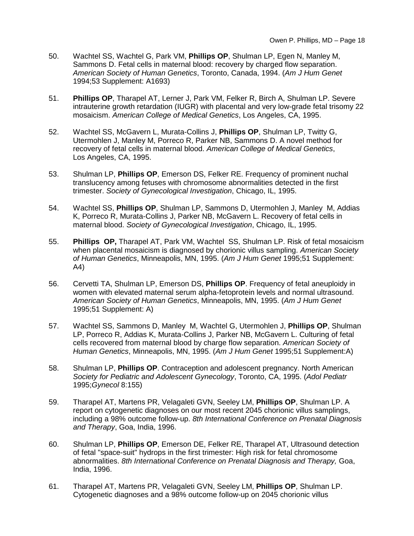- 50. Wachtel SS, Wachtel G, Park VM, **Phillips OP**, Shulman LP, Egen N, Manley M, Sammons D. Fetal cells in maternal blood: recovery by charged flow separation. *American Society of Human Genetics*, Toronto, Canada, 1994. (*Am J Hum Genet* 1994;53 Supplement: A1693)
- 51. **Phillips OP**, Tharapel AT, Lerner J, Park VM, Felker R, Birch A, Shulman LP. Severe intrauterine growth retardation (IUGR) with placental and very low-grade fetal trisomy 22 mosaicism. *American College of Medical Genetics*, Los Angeles, CA, 1995.
- 52. Wachtel SS, McGavern L, Murata-Collins J, **Phillips OP**, Shulman LP, Twitty G, Utermohlen J, Manley M, Porreco R, Parker NB, Sammons D. A novel method for recovery of fetal cells in maternal blood. *American College of Medical Genetics*, Los Angeles, CA, 1995.
- 53. Shulman LP, **Phillips OP**, Emerson DS, Felker RE. Frequency of prominent nuchal translucency among fetuses with chromosome abnormalities detected in the first trimester. *Society of Gynecological Investigation*, Chicago, IL, 1995.
- 54. Wachtel SS, **Phillips OP**, Shulman LP, Sammons D, Utermohlen J, Manley M, Addias K, Porreco R, Murata-Collins J, Parker NB, McGavern L. Recovery of fetal cells in maternal blood. *Society of Gynecological Investigation*, Chicago, IL, 1995.
- 55. **Phillips OP,** Tharapel AT, Park VM, Wachtel SS, Shulman LP. Risk of fetal mosaicism when placental mosaicism is diagnosed by chorionic villus sampling. *American Society of Human Genetics*, Minneapolis, MN, 1995. (*Am J Hum Genet* 1995;51 Supplement: A4)
- 56. Cervetti TA, Shulman LP, Emerson DS, **Phillips OP**. Frequency of fetal aneuploidy in women with elevated maternal serum alpha-fetoprotein levels and normal ultrasound. *American Society of Human Genetics*, Minneapolis, MN, 1995. (*Am J Hum Genet* 1995;51 Supplement: A)
- 57. Wachtel SS, Sammons D, Manley M, Wachtel G, Utermohlen J, **Phillips OP**, Shulman LP, Porreco R, Addias K, Murata-Collins J, Parker NB, McGavern L. Culturing of fetal cells recovered from maternal blood by charge flow separation. *American Society of Human Genetics*, Minneapolis, MN, 1995. (*Am J Hum Genet* 1995;51 Supplement:A)
- 58. Shulman LP, **Phillips OP**. Contraception and adolescent pregnancy. North American *Society for Pediatric and Adolescent Gynecology*, Toronto, CA, 1995. (*Adol Pediatr*  1995;*Gynecol* 8:155)
- 59. Tharapel AT, Martens PR, Velagaleti GVN, Seeley LM, **Phillips OP**, Shulman LP. A report on cytogenetic diagnoses on our most recent 2045 chorionic villus samplings, including a 98% outcome follow-up. *8th International Conference on Prenatal Diagnosis and Therapy*, Goa, India, 1996.
- 60. Shulman LP, **Phillips OP**, Emerson DE, Felker RE, Tharapel AT, Ultrasound detection of fetal "space-suit" hydrops in the first trimester: High risk for fetal chromosome abnormalities. *8th International Conference on Prenatal Diagnosis and Therapy,* Goa, India, 1996.
- 61. Tharapel AT, Martens PR, Velagaleti GVN, Seeley LM, **Phillips OP**, Shulman LP. Cytogenetic diagnoses and a 98% outcome follow-up on 2045 chorionic villus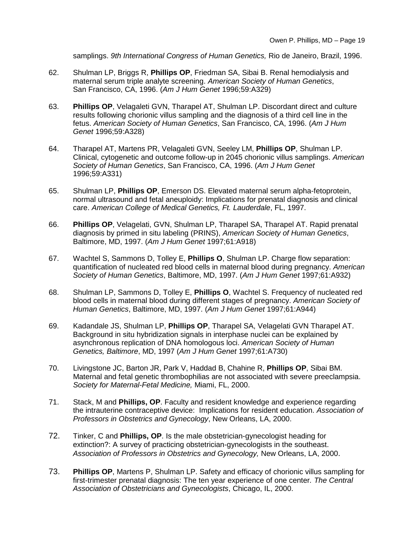samplings. *9th International Congress of Human Genetics,* Rio de Janeiro, Brazil, 1996.

- 62. Shulman LP, Briggs R, **Phillips OP**, Friedman SA, Sibai B. Renal hemodialysis and maternal serum triple analyte screening. *American Society of Human Genetics*, San Francisco, CA, 1996. (*Am J Hum Genet* 1996;59:A329)
- 63. **Phillips OP**, Velagaleti GVN, Tharapel AT, Shulman LP. Discordant direct and culture results following chorionic villus sampling and the diagnosis of a third cell line in the fetus. *American Society of Human Genetics*, San Francisco, CA, 1996. (*Am J Hum Genet* 1996;59:A328)
- 64. Tharapel AT, Martens PR, Velagaleti GVN, Seeley LM, **Phillips OP**, Shulman LP. Clinical, cytogenetic and outcome follow-up in 2045 chorionic villus samplings. *American Society of Human Genetics*, San Francisco, CA, 1996. (*Am J Hum Genet* 1996;59:A331)
- 65. Shulman LP, **Phillips OP**, Emerson DS. Elevated maternal serum alpha-fetoprotein, normal ultrasound and fetal aneuploidy: Implications for prenatal diagnosis and clinical care. *American College of Medical Genetics, Ft. Lauderdale*, FL, 1997.
- 66. **Phillips OP**, Velagelati, GVN, Shulman LP, Tharapel SA, Tharapel AT. Rapid prenatal diagnosis by primed in situ labeling (PRINS), *American Society of Human Genetics*, Baltimore, MD, 1997. (*Am J Hum Genet* 1997;61:A918)
- 67. Wachtel S, Sammons D, Tolley E, **Phillips O**, Shulman LP. Charge flow separation: quantification of nucleated red blood cells in maternal blood during pregnancy. *American Society of Human Genetics*, Baltimore, MD, 1997. (*Am J Hum Genet* 1997;61:A932)
- 68. Shulman LP, Sammons D, Tolley E, **Phillips O**, Wachtel S. Frequency of nucleated red blood cells in maternal blood during different stages of pregnancy. *American Society of Human Genetics*, Baltimore, MD, 1997. (*Am J Hum Genet* 1997;61:A944)
- 69. Kadandale JS, Shulman LP, **Phillips OP**, Tharapel SA, Velagelati GVN Tharapel AT. Background in situ hybridization signals in interphase nuclei can be explained by asynchronous replication of DNA homologous loci. *American Society of Human Genetics, Baltimore*, MD, 1997 (*Am J Hum Genet* 1997;61:A730)
- 70. Livingstone JC, Barton JR, Park V, Haddad B, Chahine R, **Phillips OP**, Sibai BM. Maternal and fetal genetic thrombophilias are not associated with severe preeclampsia. *Society for Maternal-Fetal Medicine,* Miami, FL, 2000.
- 71. Stack, M and **Phillips, OP**. Faculty and resident knowledge and experience regarding the intrauterine contraceptive device: Implications for resident education. *Association of Professors in Obstetrics and Gynecology*, New Orleans, LA, 2000.
- 72. Tinker, C and **Phillips, OP**. Is the male obstetrician-gynecologist heading for extinction?: A survey of practicing obstetrician-gynecologists in the southeast. *Association of Professors in Obstetrics and Gynecology,* New Orleans, LA, 2000.
- 73. **Phillips OP**, Martens P, Shulman LP. Safety and efficacy of chorionic villus sampling for first-trimester prenatal diagnosis: The ten year experience of one center*. The Central Association of Obstetricians and Gynecologists*, Chicago, IL, 2000.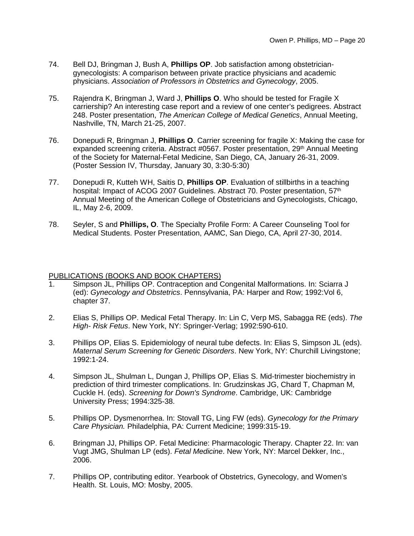- 74. Bell DJ, Bringman J, Bush A, **Phillips OP**. Job satisfaction among obstetriciangynecologists: A comparison between private practice physicians and academic physicians. *Association of Professors in Obstetrics and Gynecology*, 2005.
- 75. Rajendra K, Bringman J, Ward J, **Phillips O**. Who should be tested for Fragile X carriership? An interesting case report and a review of one center's pedigrees. Abstract 248. Poster presentation, *The American College of Medical Genetics*, Annual Meeting, Nashville, TN, March 21-25, 2007.
- 76. Donepudi R, Bringman J, **Phillips O**. Carrier screening for fragile X: Making the case for expanded screening criteria. Abstract #0567. Poster presentation, 29<sup>th</sup> Annual Meeting of the Society for Maternal-Fetal Medicine, San Diego, CA, January 26-31, 2009. (Poster Session IV, Thursday, January 30, 3:30-5:30)
- 77. Donepudi R, Kutteh WH, Saitis D, **Phillips OP**. Evaluation of stillbirths in a teaching hospital: Impact of ACOG 2007 Guidelines. Abstract 70. Poster presentation, 57<sup>th</sup> Annual Meeting of the American College of Obstetricians and Gynecologists, Chicago, IL, May 2-6, 2009.
- 78. Seyler, S and **Phillips, O**. The Specialty Profile Form: A Career Counseling Tool for Medical Students. Poster Presentation, AAMC, San Diego, CA, April 27-30, 2014.

## PUBLICATIONS (BOOKS AND BOOK CHAPTERS)

- 1. Simpson JL, Phillips OP. Contraception and Congenital Malformations. In: Sciarra J (ed): *Gynecology and Obstetrics*. Pennsylvania, PA: Harper and Row; 1992:Vol 6, chapter 37.
- 2. Elias S, Phillips OP. Medical Fetal Therapy. In: Lin C, Verp MS, Sabagga RE (eds). *The High- Risk Fetus*. New York, NY: Springer-Verlag; 1992:590-610.
- 3. Phillips OP, Elias S. Epidemiology of neural tube defects. In: Elias S, Simpson JL (eds). *Maternal Serum Screening for Genetic Disorders*. New York, NY: Churchill Livingstone; 1992:1-24.
- 4. Simpson JL, Shulman L, Dungan J, Phillips OP, Elias S. Mid-trimester biochemistry in prediction of third trimester complications. In: Grudzinskas JG, Chard T, Chapman M, Cuckle H. (eds). *Screening for Down's Syndrome*. Cambridge, UK: Cambridge University Press; 1994:325-38.
- 5. Phillips OP. Dysmenorrhea. In: Stovall TG, Ling FW (eds). *Gynecology for the Primary Care Physician.* Philadelphia, PA: Current Medicine; 1999:315-19.
- 6. Bringman JJ, Phillips OP. Fetal Medicine: Pharmacologic Therapy. Chapter 22. In: van Vugt JMG, Shulman LP (eds). *Fetal Medicine*. New York, NY: Marcel Dekker, Inc., 2006.
- 7. Phillips OP, contributing editor. Yearbook of Obstetrics, Gynecology, and Women's Health. St. Louis, MO: Mosby, 2005.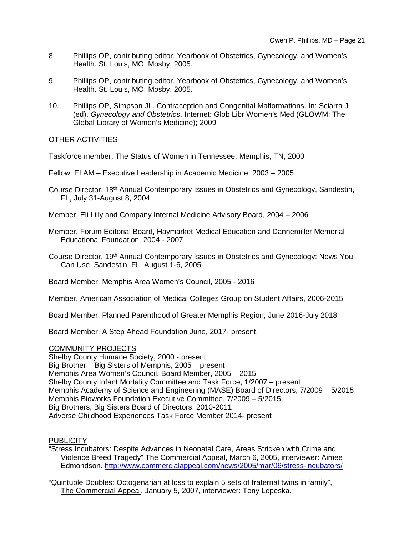- 8. Phillips OP, contributing editor. Yearbook of Obstetrics, Gynecology, and Women's Health. St. Louis, MO: Mosby, 2005.
- 9. Phillips OP, contributing editor. Yearbook of Obstetrics, Gynecology, and Women's Health. St. Louis, MO: Mosby, 2005.
- 10. Phillips OP, Simpson JL. Contraception and Congenital Malformations. In: Sciarra J (ed). *Gynecology and Obstetrics*. Internet: Glob Libr Women's Med (GLOWM: The Global Library of Women's Medicine); 2009

## OTHER ACTIVITIES

Taskforce member, The Status of Women in Tennessee, Memphis, TN, 2000

Fellow, ELAM – Executive Leadership in Academic Medicine, 2003 – 2005

- Course Director, 18<sup>th</sup> Annual Contemporary Issues in Obstetrics and Gynecology, Sandestin, FL, July 31-August 8, 2004
- Member, Eli Lilly and Company Internal Medicine Advisory Board, 2004 2006
- Member, Forum Editorial Board, Haymarket Medical Education and Dannemiller Memorial Educational Foundation, 2004 - 2007
- Course Director, 19<sup>th</sup> Annual Contemporary Issues in Obstetrics and Gynecology: News You Can Use, Sandestin, FL, August 1-6, 2005

Board Member, Memphis Area Women's Council, 2005 - 2016

Member, American Association of Medical Colleges Group on Student Affairs, 2006-2015

Board Member, Planned Parenthood of Greater Memphis Region; June 2016-July 2018

Board Member, A Step Ahead Foundation June, 2017- present.

## COMMUNITY PROJECTS

Shelby County Humane Society, 2000 - present Big Brother – Big Sisters of Memphis, 2005 – present Memphis Area Women's Council, Board Member, 2005 – 2015 Shelby County Infant Mortality Committee and Task Force, 1/2007 – present Memphis Academy of Science and Engineering (MASE) Board of Directors, 7/2009 – 5/2015 Memphis Bioworks Foundation Executive Committee, 7/2009 – 5/2015 Big Brothers, Big Sisters Board of Directors, 2010-2011 Adverse Childhood Experiences Task Force Member 2014- present

## **PUBLICITY**

"Stress Incubators: Despite Advances in Neonatal Care, Areas Stricken with Crime and Violence Breed Tragedy" The Commercial Appeal, March 6, 2005, interviewer: Aimee Edmondson.<http://www.commercialappeal.com/news/2005/mar/06/stress-incubators/>

"Quintuple Doubles: Octogenarian at loss to explain 5 sets of fraternal twins in family", The Commercial Appeal, January 5, 2007, interviewer: Tony Lepeska.